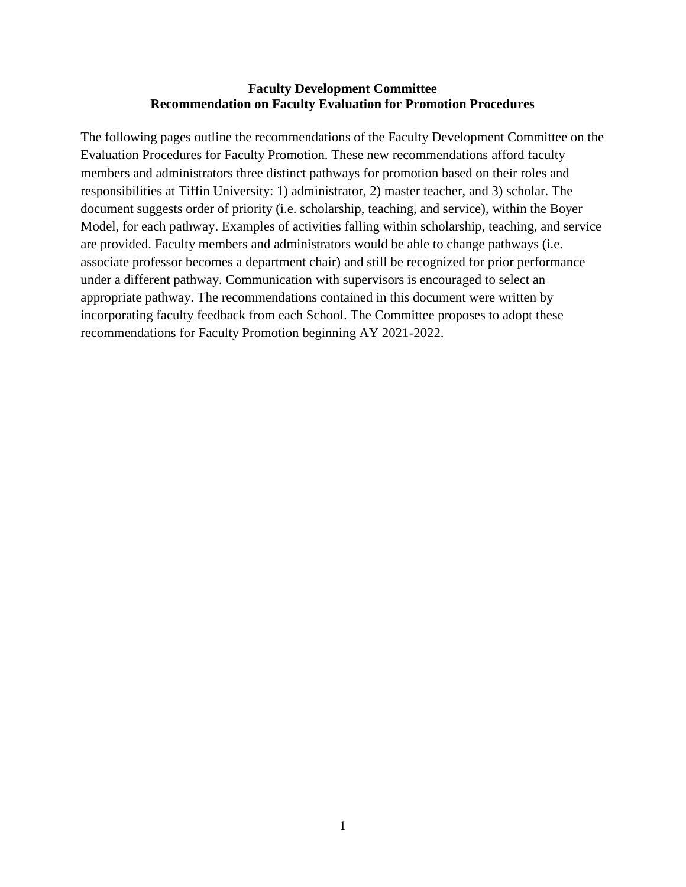# **Faculty Development Committee Recommendation on Faculty Evaluation for Promotion Procedures**

The following pages outline the recommendations of the Faculty Development Committee on the Evaluation Procedures for Faculty Promotion. These new recommendations afford faculty members and administrators three distinct pathways for promotion based on their roles and responsibilities at Tiffin University: 1) administrator, 2) master teacher, and 3) scholar. The document suggests order of priority (i.e. scholarship, teaching, and service), within the Boyer Model, for each pathway. Examples of activities falling within scholarship, teaching, and service are provided. Faculty members and administrators would be able to change pathways (i.e. associate professor becomes a department chair) and still be recognized for prior performance under a different pathway. Communication with supervisors is encouraged to select an appropriate pathway. The recommendations contained in this document were written by incorporating faculty feedback from each School. The Committee proposes to adopt these recommendations for Faculty Promotion beginning AY 2021-2022.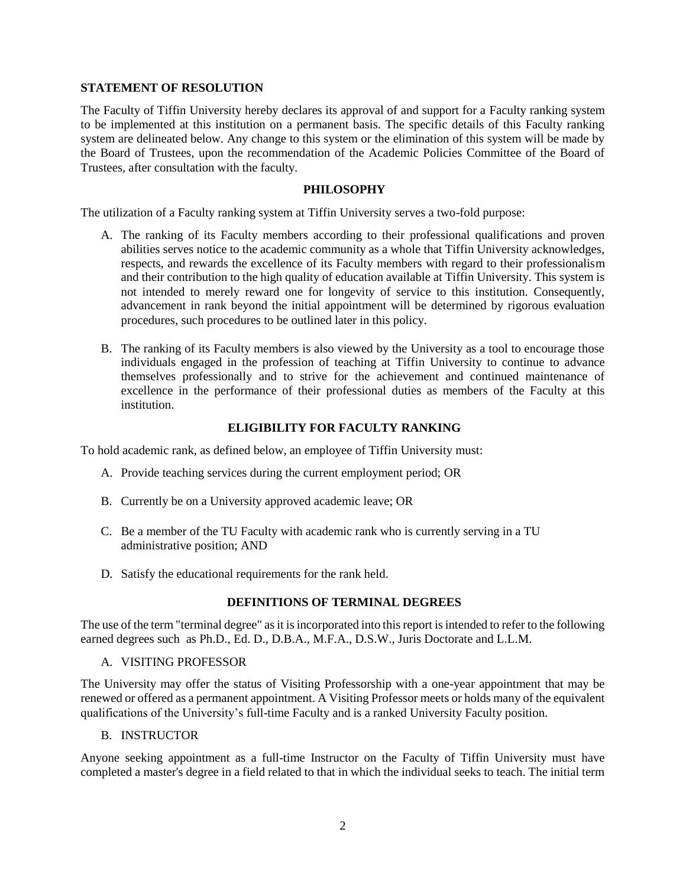#### **STATEMENT OF RESOLUTION**

The Faculty of Tiffin University hereby declares its approval of and support for a Faculty ranking system to be implemented at this institution on a permanent basis. The specific details of this Faculty ranking system are delineated below. Any change to this system or the elimination of this system will be made by the Board of Trustees, upon the recommendation of the Academic Policies Committee of the Board of Trustees, after consultation with the faculty.

#### **PHILOSOPHY**

The utilization of a Faculty ranking system at Tiffin University serves a two-fold purpose:

- A. The ranking of its Faculty members according to their professional qualifications and proven abilities serves notice to the academic community as a whole that Tiffin University acknowledges, respects, and rewards the excellence of its Faculty members with regard to their professionalism and their contribution to the high quality of education available at Tiffin University. This system is not intended to merely reward one for longevity of service to this institution. Consequently, advancement in rank beyond the initial appointment will be determined by rigorous evaluation procedures, such procedures to be outlined later in this policy.
- B. The ranking of its Faculty members is also viewed by the University as a tool to encourage those individuals engaged in the profession of teaching at Tiffin University to continue to advance themselves professionally and to strive for the achievement and continued maintenance of excellence in the performance of their professional duties as members of the Faculty at this institution.

### **ELIGIBILITY FOR FACULTY RANKING**

To hold academic rank, as defined below, an employee of Tiffin University must:

- A. Provide teaching services during the current employment period; OR
- B. Currently be on a University approved academic leave; OR
- C. Be a member of the TU Faculty with academic rank who is currently serving in a TU administrative position; AND
- D. Satisfy the educational requirements for the rank held.

### **DEFINITIONS OF TERMINAL DEGREES**

The use of the term "terminal degree" as it is incorporated into this report is intended to refer to the following earned degrees such as Ph.D., Ed. D., D.B.A., M.F.A., D.S.W., Juris Doctorate and L.L.M.

#### A. VISITING PROFESSOR

The University may offer the status of Visiting Professorship with a one-year appointment that may be renewed or offered as a permanent appointment. A Visiting Professor meets or holds many of the equivalent qualifications of the University's full-time Faculty and is a ranked University Faculty position.

B. INSTRUCTOR

Anyone seeking appointment as a full-time Instructor on the Faculty of Tiffin University must have completed a master's degree in a field related to that in which the individual seeks to teach. The initial term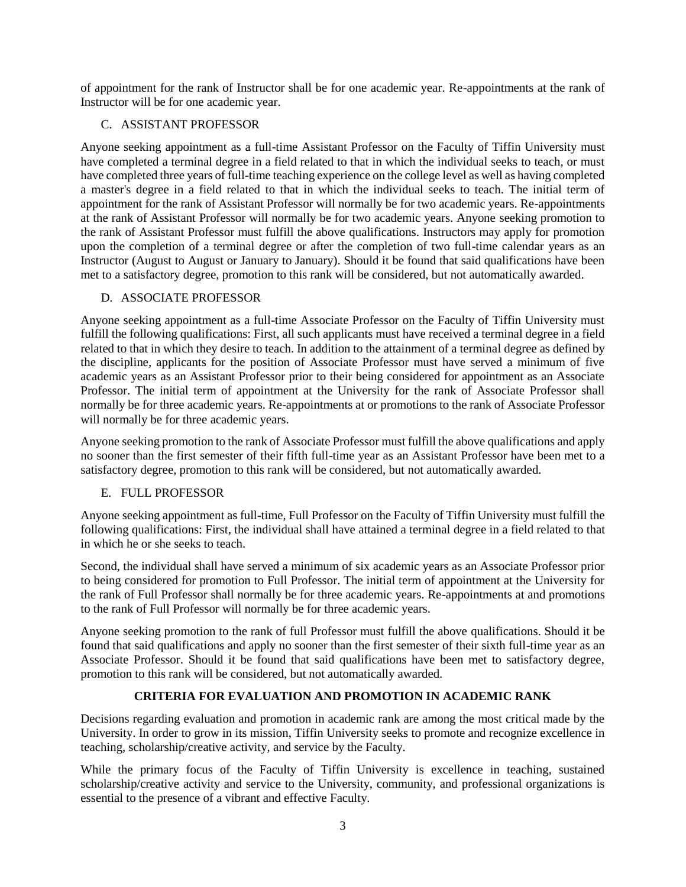of appointment for the rank of Instructor shall be for one academic year. Re-appointments at the rank of Instructor will be for one academic year.

### C. ASSISTANT PROFESSOR

Anyone seeking appointment as a full-time Assistant Professor on the Faculty of Tiffin University must have completed a terminal degree in a field related to that in which the individual seeks to teach, or must have completed three years of full-time teaching experience on the college level as well as having completed a master's degree in a field related to that in which the individual seeks to teach. The initial term of appointment for the rank of Assistant Professor will normally be for two academic years. Re-appointments at the rank of Assistant Professor will normally be for two academic years. Anyone seeking promotion to the rank of Assistant Professor must fulfill the above qualifications. Instructors may apply for promotion upon the completion of a terminal degree or after the completion of two full-time calendar years as an Instructor (August to August or January to January). Should it be found that said qualifications have been met to a satisfactory degree, promotion to this rank will be considered, but not automatically awarded.

# D. ASSOCIATE PROFESSOR

Anyone seeking appointment as a full-time Associate Professor on the Faculty of Tiffin University must fulfill the following qualifications: First, all such applicants must have received a terminal degree in a field related to that in which they desire to teach. In addition to the attainment of a terminal degree as defined by the discipline, applicants for the position of Associate Professor must have served a minimum of five academic years as an Assistant Professor prior to their being considered for appointment as an Associate Professor. The initial term of appointment at the University for the rank of Associate Professor shall normally be for three academic years. Re-appointments at or promotions to the rank of Associate Professor will normally be for three academic years.

Anyone seeking promotion to the rank of Associate Professor must fulfill the above qualifications and apply no sooner than the first semester of their fifth full-time year as an Assistant Professor have been met to a satisfactory degree, promotion to this rank will be considered, but not automatically awarded.

# E. FULL PROFESSOR

Anyone seeking appointment as full-time, Full Professor on the Faculty of Tiffin University must fulfill the following qualifications: First, the individual shall have attained a terminal degree in a field related to that in which he or she seeks to teach.

Second, the individual shall have served a minimum of six academic years as an Associate Professor prior to being considered for promotion to Full Professor. The initial term of appointment at the University for the rank of Full Professor shall normally be for three academic years. Re-appointments at and promotions to the rank of Full Professor will normally be for three academic years.

Anyone seeking promotion to the rank of full Professor must fulfill the above qualifications. Should it be found that said qualifications and apply no sooner than the first semester of their sixth full-time year as an Associate Professor. Should it be found that said qualifications have been met to satisfactory degree, promotion to this rank will be considered, but not automatically awarded.

# **CRITERIA FOR EVALUATION AND PROMOTION IN ACADEMIC RANK**

Decisions regarding evaluation and promotion in academic rank are among the most critical made by the University. In order to grow in its mission, Tiffin University seeks to promote and recognize excellence in teaching, scholarship/creative activity, and service by the Faculty.

While the primary focus of the Faculty of Tiffin University is excellence in teaching, sustained scholarship/creative activity and service to the University, community, and professional organizations is essential to the presence of a vibrant and effective Faculty.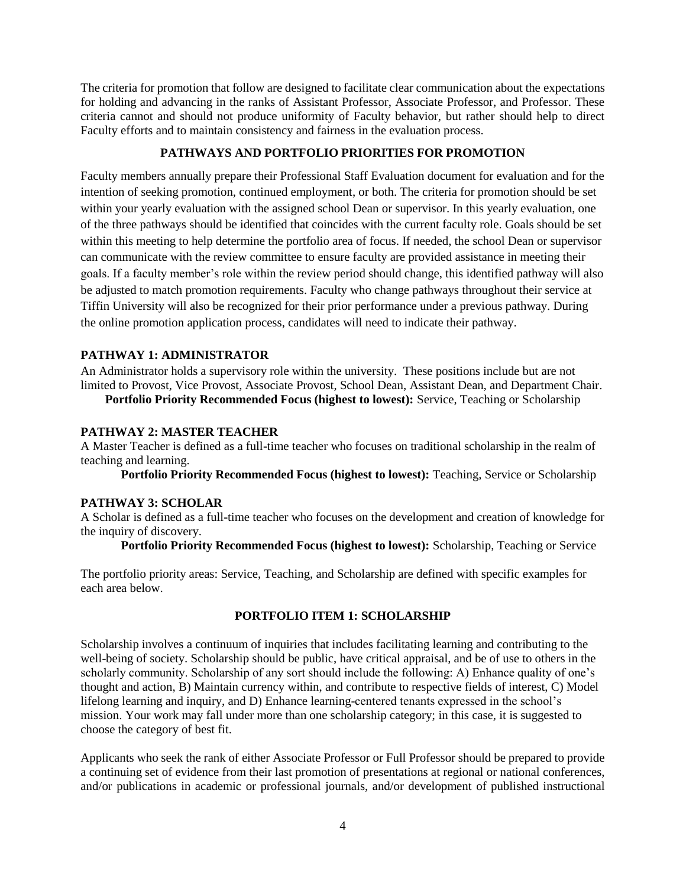The criteria for promotion that follow are designed to facilitate clear communication about the expectations for holding and advancing in the ranks of Assistant Professor, Associate Professor, and Professor. These criteria cannot and should not produce uniformity of Faculty behavior, but rather should help to direct Faculty efforts and to maintain consistency and fairness in the evaluation process.

### **PATHWAYS AND PORTFOLIO PRIORITIES FOR PROMOTION**

Faculty members annually prepare their Professional Staff Evaluation document for evaluation and for the intention of seeking promotion, continued employment, or both. The criteria for promotion should be set within your yearly evaluation with the assigned school Dean or supervisor. In this yearly evaluation, one of the three pathways should be identified that coincides with the current faculty role. Goals should be set within this meeting to help determine the portfolio area of focus. If needed, the school Dean or supervisor can communicate with the review committee to ensure faculty are provided assistance in meeting their goals. If a faculty member's role within the review period should change, this identified pathway will also be adjusted to match promotion requirements. Faculty who change pathways throughout their service at Tiffin University will also be recognized for their prior performance under a previous pathway. During the online promotion application process, candidates will need to indicate their pathway.

# **PATHWAY 1: ADMINISTRATOR**

An Administrator holds a supervisory role within the university. These positions include but are not limited to Provost, Vice Provost, Associate Provost, School Dean, Assistant Dean, and Department Chair. **Portfolio Priority Recommended Focus (highest to lowest):** Service, Teaching or Scholarship

### **PATHWAY 2: MASTER TEACHER**

A Master Teacher is defined as a full-time teacher who focuses on traditional scholarship in the realm of teaching and learning.

**Portfolio Priority Recommended Focus (highest to lowest):** Teaching, Service or Scholarship

### **PATHWAY 3: SCHOLAR**

A Scholar is defined as a full-time teacher who focuses on the development and creation of knowledge for the inquiry of discovery.

**Portfolio Priority Recommended Focus (highest to lowest):** Scholarship, Teaching or Service

The portfolio priority areas: Service, Teaching, and Scholarship are defined with specific examples for each area below.

# **PORTFOLIO ITEM 1: SCHOLARSHIP**

Scholarship involves a continuum of inquiries that includes facilitating learning and contributing to the well-being of society. Scholarship should be public, have critical appraisal, and be of use to others in the scholarly community. Scholarship of any sort should include the following: A) Enhance quality of one's thought and action, B) Maintain currency within, and contribute to respective fields of interest, C) Model lifelong learning and inquiry, and D) Enhance learning-centered tenants expressed in the school's mission. Your work may fall under more than one scholarship category; in this case, it is suggested to choose the category of best fit.

Applicants who seek the rank of either Associate Professor or Full Professor should be prepared to provide a continuing set of evidence from their last promotion of presentations at regional or national conferences, and/or publications in academic or professional journals, and/or development of published instructional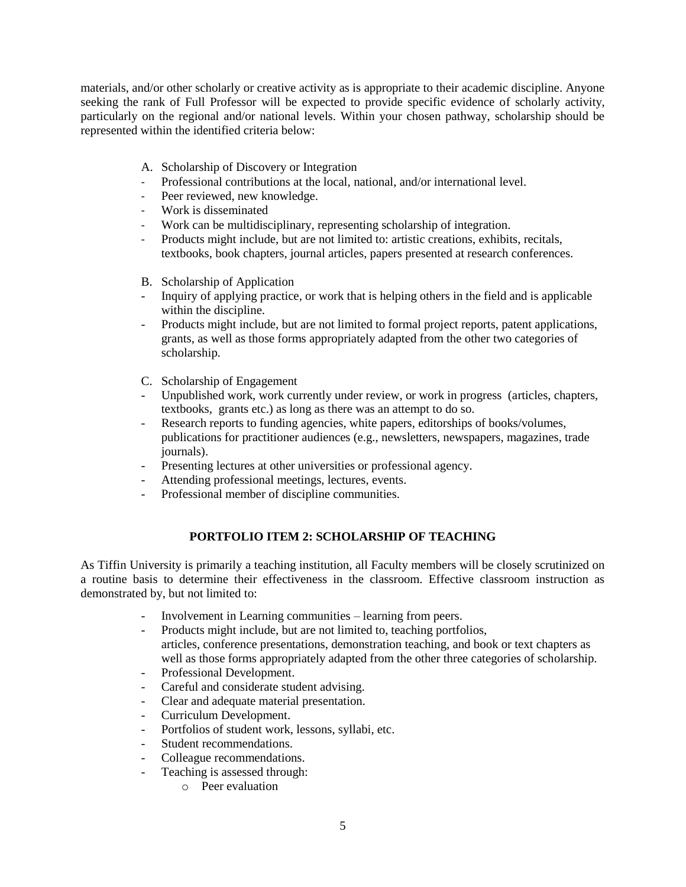materials, and/or other scholarly or creative activity as is appropriate to their academic discipline. Anyone seeking the rank of Full Professor will be expected to provide specific evidence of scholarly activity, particularly on the regional and/or national levels. Within your chosen pathway, scholarship should be represented within the identified criteria below:

- A. Scholarship of Discovery or Integration
- Professional contributions at the local, national, and/or international level.
- Peer reviewed, new knowledge.
- Work is disseminated
- Work can be multidisciplinary, representing scholarship of integration.
- Products might include, but are not limited to: artistic creations, exhibits, recitals, textbooks, book chapters, journal articles, papers presented at research conferences.
- B. Scholarship of Application
- Inquiry of applying practice, or work that is helping others in the field and is applicable within the discipline.
- Products might include, but are not limited to formal project reports, patent applications, grants, as well as those forms appropriately adapted from the other two categories of scholarship.
- C. Scholarship of Engagement
- Unpublished work, work currently under review, or work in progress (articles, chapters, textbooks, grants etc.) as long as there was an attempt to do so.
- Research reports to funding agencies, white papers, editorships of books/volumes, publications for practitioner audiences (e.g., newsletters, newspapers, magazines, trade journals).
- Presenting lectures at other universities or professional agency.
- Attending professional meetings, lectures, events.
- Professional member of discipline communities.

# **PORTFOLIO ITEM 2: SCHOLARSHIP OF TEACHING**

As Tiffin University is primarily a teaching institution, all Faculty members will be closely scrutinized on a routine basis to determine their effectiveness in the classroom. Effective classroom instruction as demonstrated by, but not limited to:

- Involvement in Learning communities learning from peers.
- Products might include, but are not limited to, teaching portfolios, articles, conference presentations, demonstration teaching, and book or text chapters as well as those forms appropriately adapted from the other three categories of scholarship.
- Professional Development.
- Careful and considerate student advising.
- Clear and adequate material presentation.
- Curriculum Development.
- Portfolios of student work, lessons, syllabi, etc.
- Student recommendations.
- Colleague recommendations.
- Teaching is assessed through:
	- o Peer evaluation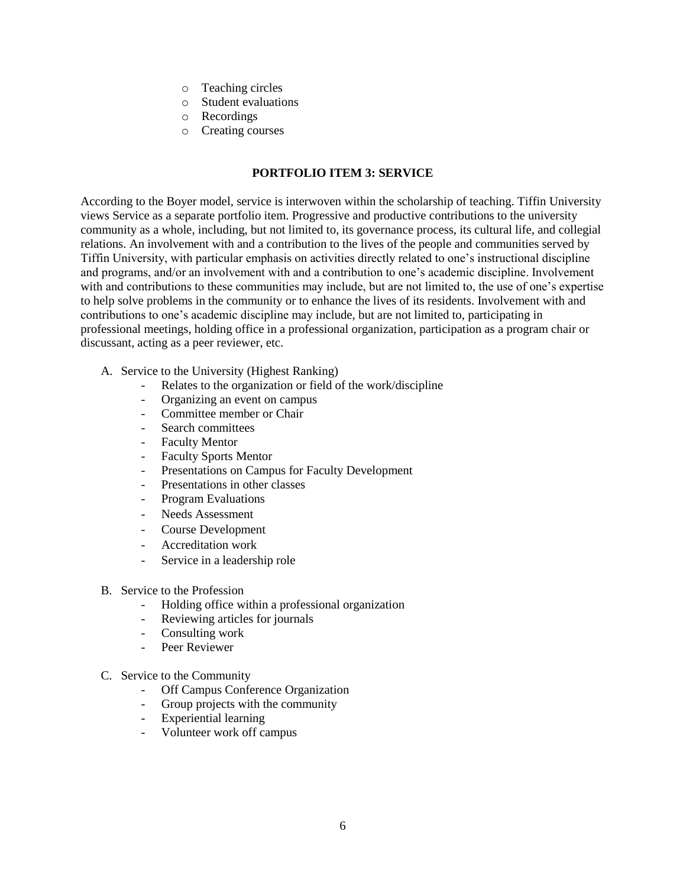- o Teaching circles
- o Student evaluations
- o Recordings
- o Creating courses

## **PORTFOLIO ITEM 3: SERVICE**

According to the Boyer model, service is interwoven within the scholarship of teaching. Tiffin University views Service as a separate portfolio item. Progressive and productive contributions to the university community as a whole, including, but not limited to, its governance process, its cultural life, and collegial relations. An involvement with and a contribution to the lives of the people and communities served by Tiffin University, with particular emphasis on activities directly related to one's instructional discipline and programs, and/or an involvement with and a contribution to one's academic discipline. Involvement with and contributions to these communities may include, but are not limited to, the use of one's expertise to help solve problems in the community or to enhance the lives of its residents. Involvement with and contributions to one's academic discipline may include, but are not limited to, participating in professional meetings, holding office in a professional organization, participation as a program chair or discussant, acting as a peer reviewer, etc.

- A. Service to the University (Highest Ranking)
	- Relates to the organization or field of the work/discipline
	- Organizing an event on campus
	- Committee member or Chair
	- Search committees
	- Faculty Mentor
	- Faculty Sports Mentor
	- Presentations on Campus for Faculty Development
	- Presentations in other classes
	- Program Evaluations
	- Needs Assessment
	- Course Development
	- Accreditation work
	- Service in a leadership role
- B. Service to the Profession
	- Holding office within a professional organization
	- Reviewing articles for journals
	- Consulting work
	- Peer Reviewer
- C. Service to the Community
	- Off Campus Conference Organization
	- Group projects with the community
	- Experiential learning
	- Volunteer work off campus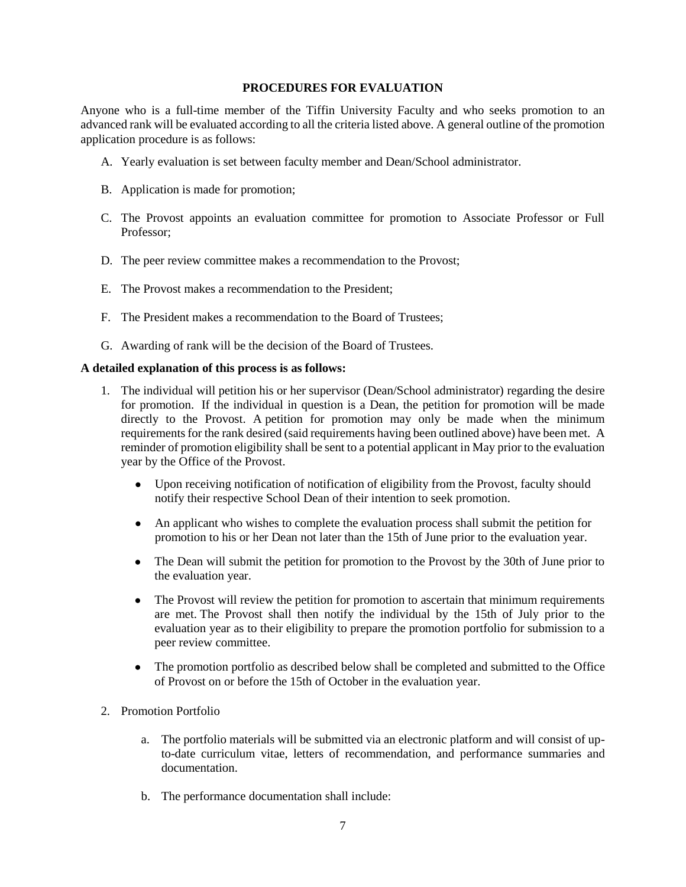#### **PROCEDURES FOR EVALUATION**

Anyone who is a full-time member of the Tiffin University Faculty and who seeks promotion to an advanced rank will be evaluated according to all the criteria listed above. A general outline of the promotion application procedure is as follows:

- A. Yearly evaluation is set between faculty member and Dean/School administrator.
- B. Application is made for promotion;
- C. The Provost appoints an evaluation committee for promotion to Associate Professor or Full Professor;
- D. The peer review committee makes a recommendation to the Provost;
- E. The Provost makes a recommendation to the President;
- F. The President makes a recommendation to the Board of Trustees;
- G. Awarding of rank will be the decision of the Board of Trustees.

#### **A detailed explanation of this process is as follows:**

- 1. The individual will petition his or her supervisor (Dean/School administrator) regarding the desire for promotion. If the individual in question is a Dean, the petition for promotion will be made directly to the Provost. A petition for promotion may only be made when the minimum requirements for the rank desired (said requirements having been outlined above) have been met. A reminder of promotion eligibility shall be sent to a potential applicant in May prior to the evaluation year by the Office of the Provost.
	- Upon receiving notification of notification of eligibility from the Provost, faculty should notify their respective School Dean of their intention to seek promotion.
	- An applicant who wishes to complete the evaluation process shall submit the petition for promotion to his or her Dean not later than the 15th of June prior to the evaluation year.
	- The Dean will submit the petition for promotion to the Provost by the 30th of June prior to the evaluation year.
	- The Provost will review the petition for promotion to ascertain that minimum requirements are met. The Provost shall then notify the individual by the 15th of July prior to the evaluation year as to their eligibility to prepare the promotion portfolio for submission to a peer review committee.
	- The promotion portfolio as described below shall be completed and submitted to the Office of Provost on or before the 15th of October in the evaluation year.
- 2. Promotion Portfolio
	- a. The portfolio materials will be submitted via an electronic platform and will consist of upto-date curriculum vitae, letters of recommendation, and performance summaries and documentation.
	- b. The performance documentation shall include: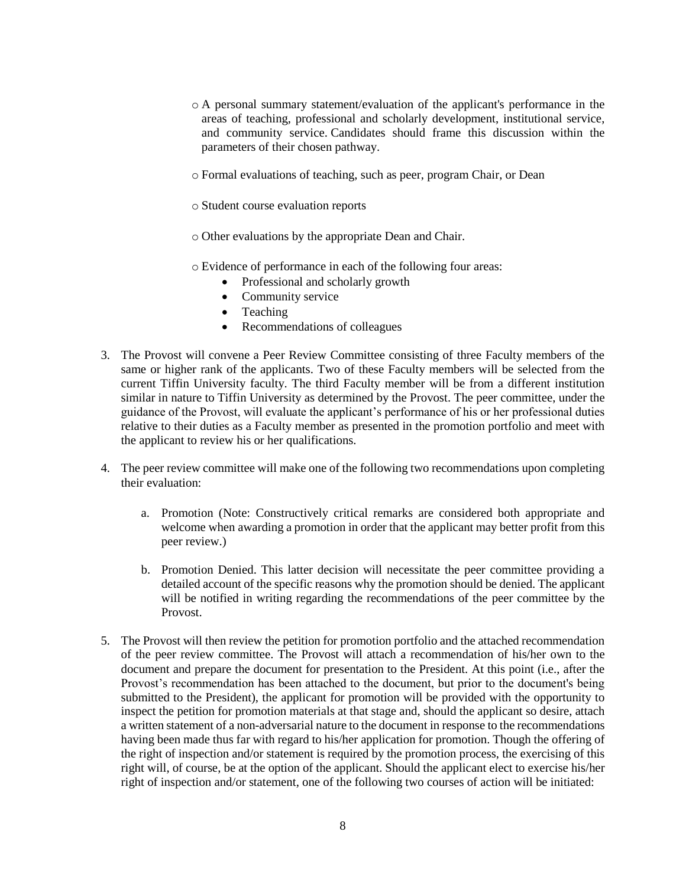- o A personal summary statement/evaluation of the applicant's performance in the areas of teaching, professional and scholarly development, institutional service, and community service. Candidates should frame this discussion within the parameters of their chosen pathway.
- o Formal evaluations of teaching, such as peer, program Chair, or Dean
- o Student course evaluation reports
- o Other evaluations by the appropriate Dean and Chair.
- o Evidence of performance in each of the following four areas:
	- Professional and scholarly growth
	- Community service
	- Teaching
	- Recommendations of colleagues
- 3. The Provost will convene a Peer Review Committee consisting of three Faculty members of the same or higher rank of the applicants. Two of these Faculty members will be selected from the current Tiffin University faculty. The third Faculty member will be from a different institution similar in nature to Tiffin University as determined by the Provost. The peer committee, under the guidance of the Provost, will evaluate the applicant's performance of his or her professional duties relative to their duties as a Faculty member as presented in the promotion portfolio and meet with the applicant to review his or her qualifications.
- 4. The peer review committee will make one of the following two recommendations upon completing their evaluation:
	- a. Promotion (Note: Constructively critical remarks are considered both appropriate and welcome when awarding a promotion in order that the applicant may better profit from this peer review.)
	- b. Promotion Denied. This latter decision will necessitate the peer committee providing a detailed account of the specific reasons why the promotion should be denied. The applicant will be notified in writing regarding the recommendations of the peer committee by the Provost.
- 5. The Provost will then review the petition for promotion portfolio and the attached recommendation of the peer review committee. The Provost will attach a recommendation of his/her own to the document and prepare the document for presentation to the President. At this point (i.e., after the Provost's recommendation has been attached to the document, but prior to the document's being submitted to the President), the applicant for promotion will be provided with the opportunity to inspect the petition for promotion materials at that stage and, should the applicant so desire, attach a written statement of a non-adversarial nature to the document in response to the recommendations having been made thus far with regard to his/her application for promotion. Though the offering of the right of inspection and/or statement is required by the promotion process, the exercising of this right will, of course, be at the option of the applicant. Should the applicant elect to exercise his/her right of inspection and/or statement, one of the following two courses of action will be initiated: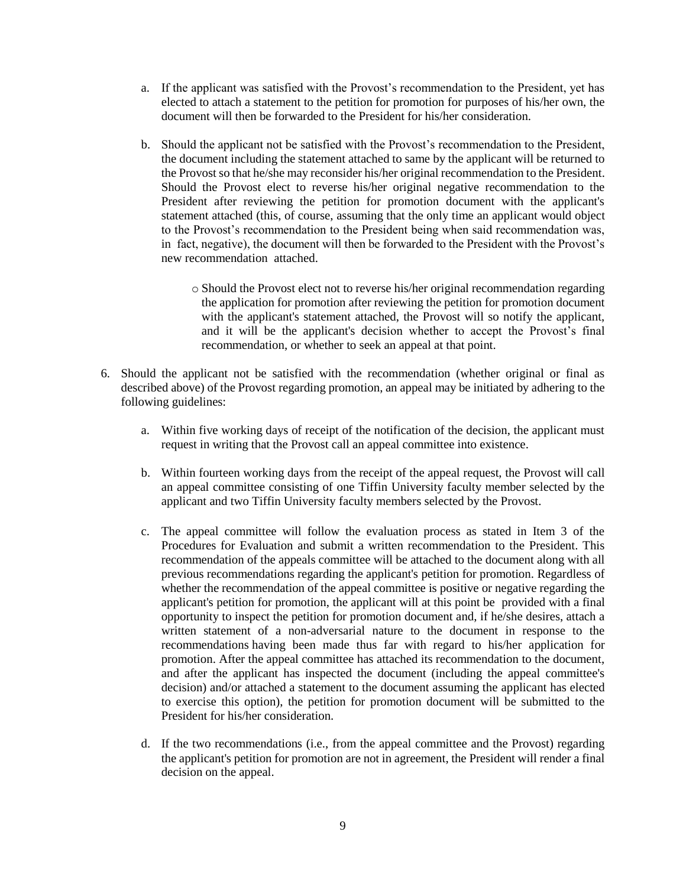- a. If the applicant was satisfied with the Provost's recommendation to the President, yet has elected to attach a statement to the petition for promotion for purposes of his/her own, the document will then be forwarded to the President for his/her consideration.
- b. Should the applicant not be satisfied with the Provost's recommendation to the President, the document including the statement attached to same by the applicant will be returned to the Provost so that he/she may reconsider his/her original recommendation to the President. Should the Provost elect to reverse his/her original negative recommendation to the President after reviewing the petition for promotion document with the applicant's statement attached (this, of course, assuming that the only time an applicant would object to the Provost's recommendation to the President being when said recommendation was, in fact, negative), the document will then be forwarded to the President with the Provost's new recommendation attached.
	- o Should the Provost elect not to reverse his/her original recommendation regarding the application for promotion after reviewing the petition for promotion document with the applicant's statement attached, the Provost will so notify the applicant, and it will be the applicant's decision whether to accept the Provost's final recommendation, or whether to seek an appeal at that point.
- 6. Should the applicant not be satisfied with the recommendation (whether original or final as described above) of the Provost regarding promotion, an appeal may be initiated by adhering to the following guidelines:
	- a. Within five working days of receipt of the notification of the decision, the applicant must request in writing that the Provost call an appeal committee into existence.
	- b. Within fourteen working days from the receipt of the appeal request, the Provost will call an appeal committee consisting of one Tiffin University faculty member selected by the applicant and two Tiffin University faculty members selected by the Provost.
	- c. The appeal committee will follow the evaluation process as stated in Item 3 of the Procedures for Evaluation and submit a written recommendation to the President. This recommendation of the appeals committee will be attached to the document along with all previous recommendations regarding the applicant's petition for promotion. Regardless of whether the recommendation of the appeal committee is positive or negative regarding the applicant's petition for promotion, the applicant will at this point be provided with a final opportunity to inspect the petition for promotion document and, if he/she desires, attach a written statement of a non-adversarial nature to the document in response to the recommendations having been made thus far with regard to his/her application for promotion. After the appeal committee has attached its recommendation to the document, and after the applicant has inspected the document (including the appeal committee's decision) and/or attached a statement to the document assuming the applicant has elected to exercise this option), the petition for promotion document will be submitted to the President for his/her consideration.
	- d. If the two recommendations (i.e., from the appeal committee and the Provost) regarding the applicant's petition for promotion are not in agreement, the President will render a final decision on the appeal.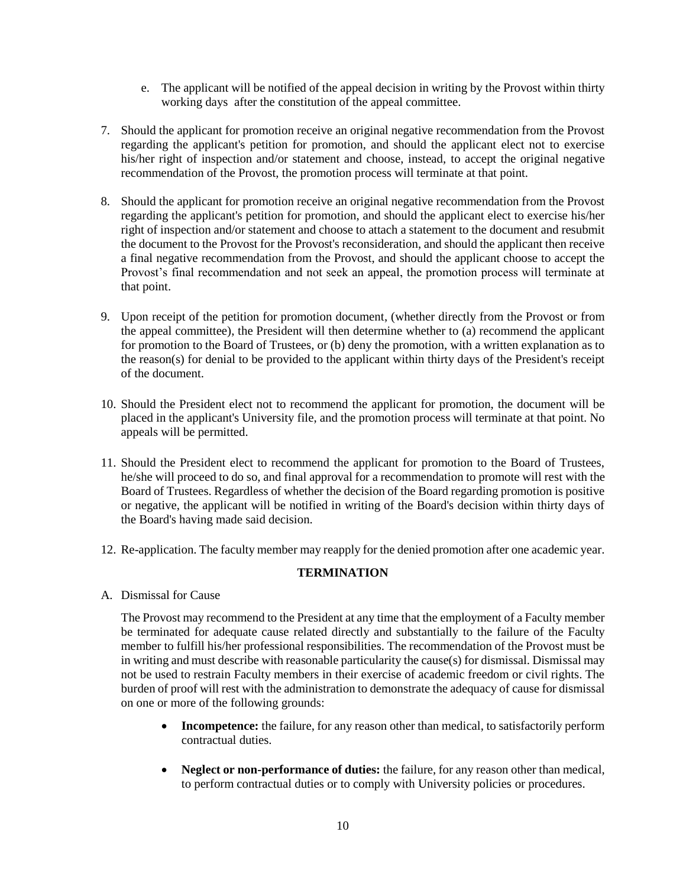- e. The applicant will be notified of the appeal decision in writing by the Provost within thirty working days after the constitution of the appeal committee.
- 7. Should the applicant for promotion receive an original negative recommendation from the Provost regarding the applicant's petition for promotion, and should the applicant elect not to exercise his/her right of inspection and/or statement and choose, instead, to accept the original negative recommendation of the Provost, the promotion process will terminate at that point.
- 8. Should the applicant for promotion receive an original negative recommendation from the Provost regarding the applicant's petition for promotion, and should the applicant elect to exercise his/her right of inspection and/or statement and choose to attach a statement to the document and resubmit the document to the Provost for the Provost's reconsideration, and should the applicant then receive a final negative recommendation from the Provost, and should the applicant choose to accept the Provost's final recommendation and not seek an appeal, the promotion process will terminate at that point.
- 9. Upon receipt of the petition for promotion document, (whether directly from the Provost or from the appeal committee), the President will then determine whether to (a) recommend the applicant for promotion to the Board of Trustees, or (b) deny the promotion, with a written explanation as to the reason(s) for denial to be provided to the applicant within thirty days of the President's receipt of the document.
- 10. Should the President elect not to recommend the applicant for promotion, the document will be placed in the applicant's University file, and the promotion process will terminate at that point. No appeals will be permitted.
- 11. Should the President elect to recommend the applicant for promotion to the Board of Trustees, he/she will proceed to do so, and final approval for a recommendation to promote will rest with the Board of Trustees. Regardless of whether the decision of the Board regarding promotion is positive or negative, the applicant will be notified in writing of the Board's decision within thirty days of the Board's having made said decision.
- 12. Re-application. The faculty member may reapply for the denied promotion after one academic year.

# **TERMINATION**

A. Dismissal for Cause

The Provost may recommend to the President at any time that the employment of a Faculty member be terminated for adequate cause related directly and substantially to the failure of the Faculty member to fulfill his/her professional responsibilities. The recommendation of the Provost must be in writing and must describe with reasonable particularity the cause(s) for dismissal. Dismissal may not be used to restrain Faculty members in their exercise of academic freedom or civil rights. The burden of proof will rest with the administration to demonstrate the adequacy of cause for dismissal on one or more of the following grounds:

- **Incompetence:** the failure, for any reason other than medical, to satisfactorily perform contractual duties.
- **Neglect or non-performance of duties:** the failure, for any reason other than medical, to perform contractual duties or to comply with University policies or procedures.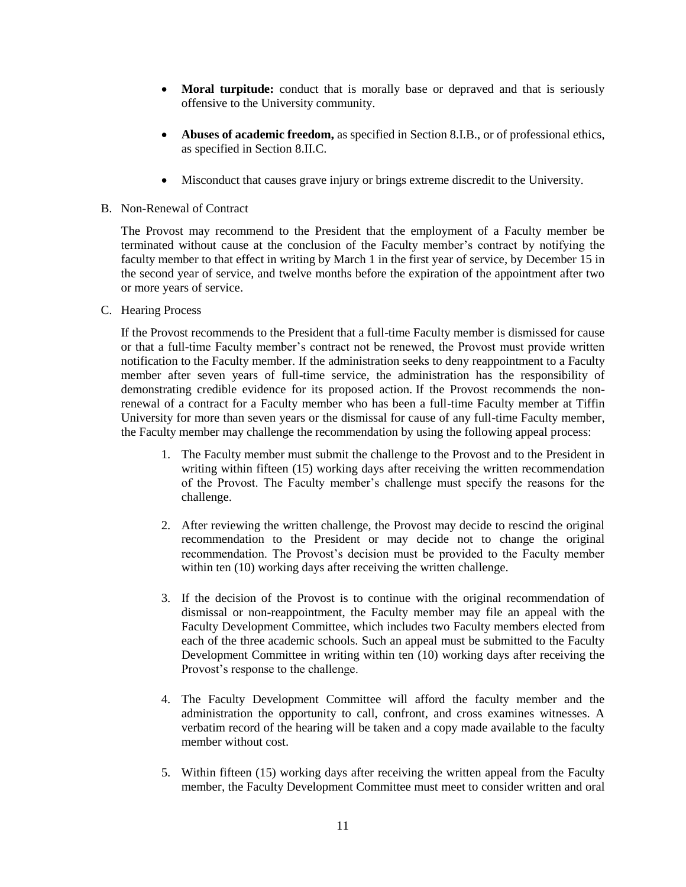- **Moral turpitude:** conduct that is morally base or depraved and that is seriously offensive to the University community.
- **Abuses of academic freedom,** as specified in Section 8.I.B., or of professional ethics, as specified in Section 8.II.C.
- Misconduct that causes grave injury or brings extreme discredit to the University.
- B. Non-Renewal of Contract

The Provost may recommend to the President that the employment of a Faculty member be terminated without cause at the conclusion of the Faculty member's contract by notifying the faculty member to that effect in writing by March 1 in the first year of service, by December 15 in the second year of service, and twelve months before the expiration of the appointment after two or more years of service.

C. Hearing Process

If the Provost recommends to the President that a full-time Faculty member is dismissed for cause or that a full-time Faculty member's contract not be renewed, the Provost must provide written notification to the Faculty member. If the administration seeks to deny reappointment to a Faculty member after seven years of full-time service, the administration has the responsibility of demonstrating credible evidence for its proposed action. If the Provost recommends the nonrenewal of a contract for a Faculty member who has been a full-time Faculty member at Tiffin University for more than seven years or the dismissal for cause of any full-time Faculty member, the Faculty member may challenge the recommendation by using the following appeal process:

- 1. The Faculty member must submit the challenge to the Provost and to the President in writing within fifteen (15) working days after receiving the written recommendation of the Provost. The Faculty member's challenge must specify the reasons for the challenge.
- 2. After reviewing the written challenge, the Provost may decide to rescind the original recommendation to the President or may decide not to change the original recommendation. The Provost's decision must be provided to the Faculty member within ten (10) working days after receiving the written challenge.
- 3. If the decision of the Provost is to continue with the original recommendation of dismissal or non-reappointment, the Faculty member may file an appeal with the Faculty Development Committee, which includes two Faculty members elected from each of the three academic schools. Such an appeal must be submitted to the Faculty Development Committee in writing within ten (10) working days after receiving the Provost's response to the challenge.
- 4. The Faculty Development Committee will afford the faculty member and the administration the opportunity to call, confront, and cross examines witnesses. A verbatim record of the hearing will be taken and a copy made available to the faculty member without cost.
- 5. Within fifteen (15) working days after receiving the written appeal from the Faculty member, the Faculty Development Committee must meet to consider written and oral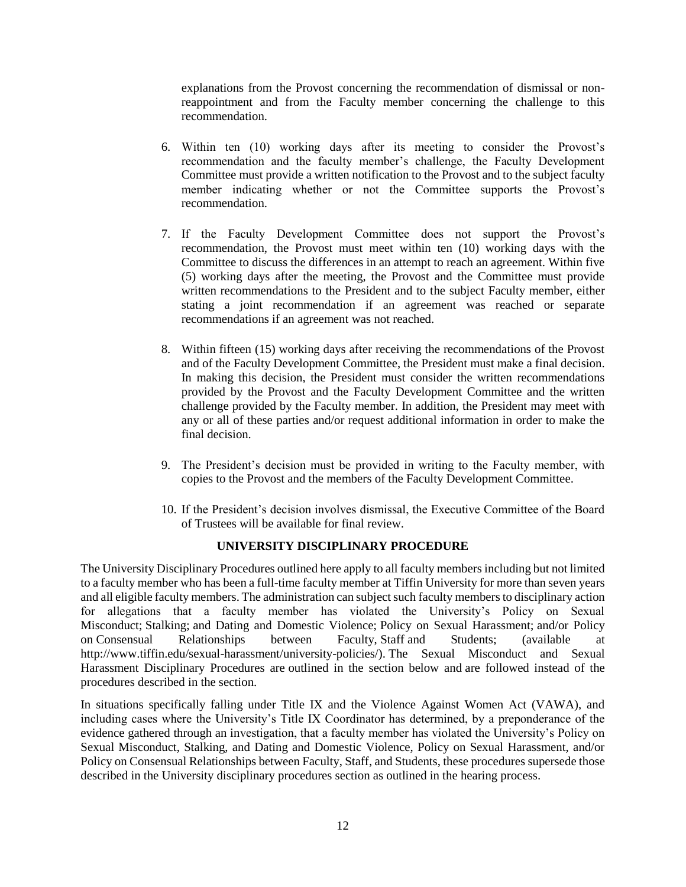explanations from the Provost concerning the recommendation of dismissal or nonreappointment and from the Faculty member concerning the challenge to this recommendation.

- 6. Within ten (10) working days after its meeting to consider the Provost's recommendation and the faculty member's challenge, the Faculty Development Committee must provide a written notification to the Provost and to the subject faculty member indicating whether or not the Committee supports the Provost's recommendation.
- 7. If the Faculty Development Committee does not support the Provost's recommendation, the Provost must meet within ten (10) working days with the Committee to discuss the differences in an attempt to reach an agreement. Within five (5) working days after the meeting, the Provost and the Committee must provide written recommendations to the President and to the subject Faculty member, either stating a joint recommendation if an agreement was reached or separate recommendations if an agreement was not reached.
- 8. Within fifteen (15) working days after receiving the recommendations of the Provost and of the Faculty Development Committee, the President must make a final decision. In making this decision, the President must consider the written recommendations provided by the Provost and the Faculty Development Committee and the written challenge provided by the Faculty member. In addition, the President may meet with any or all of these parties and/or request additional information in order to make the final decision.
- 9. The President's decision must be provided in writing to the Faculty member, with copies to the Provost and the members of the Faculty Development Committee.
- 10. If the President's decision involves dismissal, the Executive Committee of the Board of Trustees will be available for final review.

### **UNIVERSITY DISCIPLINARY PROCEDURE**

The University Disciplinary Procedures outlined here apply to all faculty members including but not limited to a faculty member who has been a full-time faculty member at Tiffin University for more than seven years and all eligible faculty members. The administration can subject such faculty members to disciplinary action for allegations that a faculty member has violated the University's Policy on Sexual Misconduct; Stalking; and Dating and Domestic Violence; Policy on Sexual Harassment; and/or Policy on Consensual Relationships between Faculty, Staff and Students; (available at http://www.tiffin.edu/sexual-harassment/university-policies/). The Sexual Misconduct and Sexual Harassment Disciplinary Procedures are outlined in the section below and are followed instead of the procedures described in the section.

In situations specifically falling under Title IX and the Violence Against Women Act (VAWA), and including cases where the University's Title IX Coordinator has determined, by a preponderance of the evidence gathered through an investigation, that a faculty member has violated the University's Policy on Sexual Misconduct, Stalking, and Dating and Domestic Violence, Policy on Sexual Harassment, and/or Policy on Consensual Relationships between Faculty, Staff, and Students, these procedures supersede those described in the University disciplinary procedures section as outlined in the hearing process.